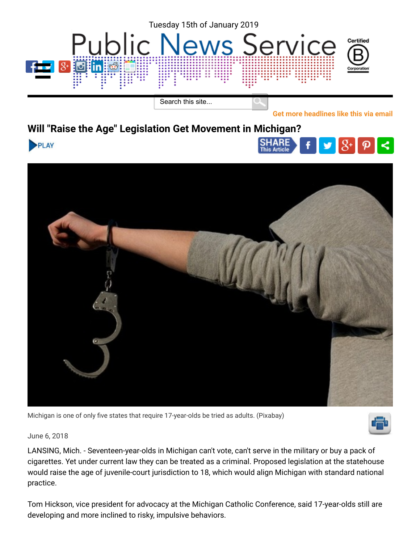

**Will "Raise the Age" Legislation Get Movement in Michigan?**





Michigan is one of only five states that require 17-year-olds be tried as adults. (Pixabay)



**[Get more headlines like this via email](https://www.publicnewsservice.org/nc/signup.php)**

 $\prec$ 

**SHARE** 

June 6, 2018

LANSING, Mich. - Seventeen-year-olds in Michigan can't vote, can't serve in the military or buy a pack of cigarettes. Yet under current law they can be treated as a criminal. Proposed legislation at the statehouse would raise the age of juvenile-court jurisdiction to 18, which would align Michigan with standard national practice.

Tom Hickson, vice president for advocacy at the Michigan Catholic Conference, said 17-year-olds still are developing and more inclined to risky, impulsive behaviors.